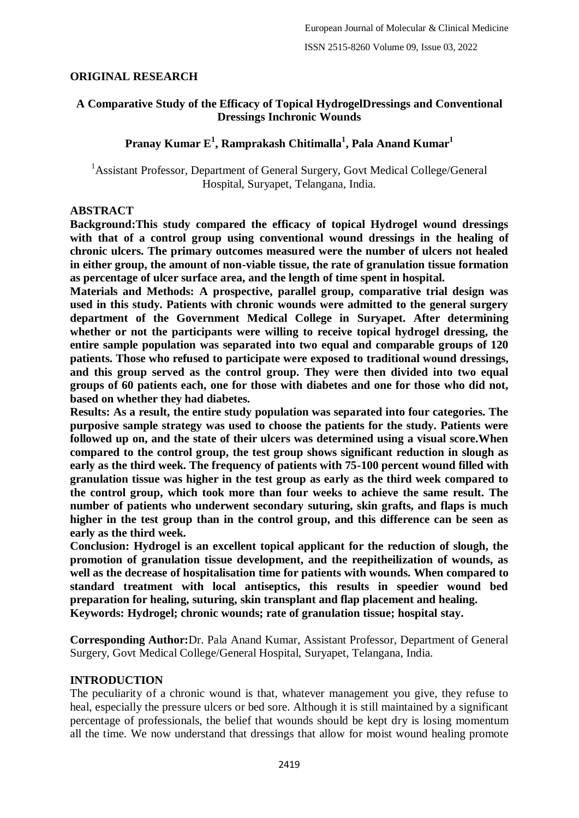### **ORIGINAL RESEARCH**

### **A Comparative Study of the Efficacy of Topical HydrogelDressings and Conventional Dressings Inchronic Wounds**

# **Pranay Kumar E<sup>1</sup> , Ramprakash Chitimalla<sup>1</sup> , Pala Anand Kumar<sup>1</sup>**

<sup>1</sup>Assistant Professor, Department of General Surgery, Govt Medical College/General Hospital, Suryapet, Telangana, India.

#### **ABSTRACT**

**Background:This study compared the efficacy of topical Hydrogel wound dressings with that of a control group using conventional wound dressings in the healing of chronic ulcers. The primary outcomes measured were the number of ulcers not healed in either group, the amount of non-viable tissue, the rate of granulation tissue formation as percentage of ulcer surface area, and the length of time spent in hospital.**

**Materials and Methods: A prospective, parallel group, comparative trial design was used in this study. Patients with chronic wounds were admitted to the general surgery department of the Government Medical College in Suryapet. After determining whether or not the participants were willing to receive topical hydrogel dressing, the entire sample population was separated into two equal and comparable groups of 120 patients. Those who refused to participate were exposed to traditional wound dressings, and this group served as the control group. They were then divided into two equal groups of 60 patients each, one for those with diabetes and one for those who did not, based on whether they had diabetes.**

**Results: As a result, the entire study population was separated into four categories. The purposive sample strategy was used to choose the patients for the study. Patients were followed up on, and the state of their ulcers was determined using a visual score.When compared to the control group, the test group shows significant reduction in slough as early as the third week. The frequency of patients with 75-100 percent wound filled with granulation tissue was higher in the test group as early as the third week compared to the control group, which took more than four weeks to achieve the same result. The number of patients who underwent secondary suturing, skin grafts, and flaps is much higher in the test group than in the control group, and this difference can be seen as early as the third week.**

**Conclusion: Hydrogel is an excellent topical applicant for the reduction of slough, the promotion of granulation tissue development, and the reepitheilization of wounds, as well as the decrease of hospitalisation time for patients with wounds. When compared to standard treatment with local antiseptics, this results in speedier wound bed preparation for healing, suturing, skin transplant and flap placement and healing. Keywords: Hydrogel; chronic wounds; rate of granulation tissue; hospital stay.**

**Corresponding Author:**Dr. Pala Anand Kumar, Assistant Professor, Department of General Surgery, Govt Medical College/General Hospital, Suryapet, Telangana, India.

#### **INTRODUCTION**

The peculiarity of a chronic wound is that, whatever management you give, they refuse to heal, especially the pressure ulcers or bed sore. Although it is still maintained by a significant percentage of professionals, the belief that wounds should be kept dry is losing momentum all the time. We now understand that dressings that allow for moist wound healing promote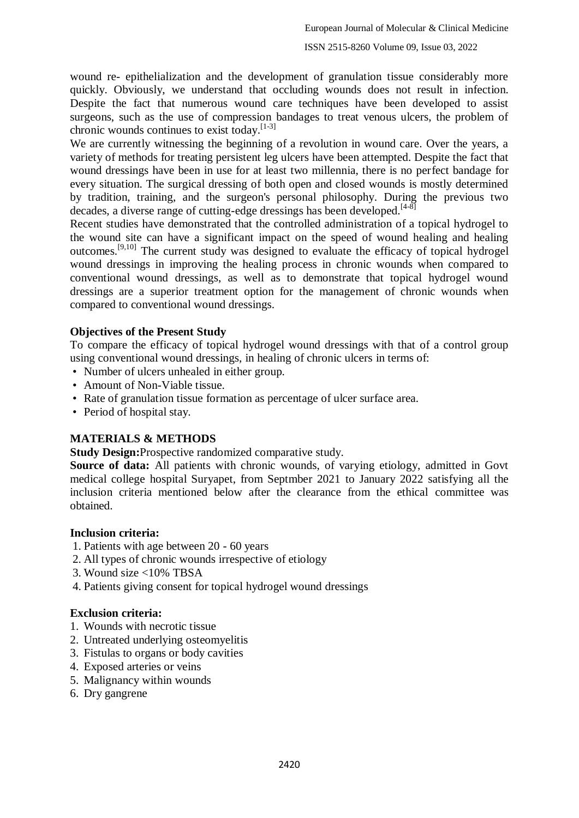wound re- epithelialization and the development of granulation tissue considerably more quickly. Obviously, we understand that occluding wounds does not result in infection. Despite the fact that numerous wound care techniques have been developed to assist surgeons, such as the use of compression bandages to treat venous ulcers, the problem of chronic wounds continues to exist today. [1-3]

We are currently witnessing the beginning of a revolution in wound care. Over the years, a variety of methods for treating persistent leg ulcers have been attempted. Despite the fact that wound dressings have been in use for at least two millennia, there is no perfect bandage for every situation. The surgical dressing of both open and closed wounds is mostly determined by tradition, training, and the surgeon's personal philosophy. During the previous two decades, a diverse range of cutting-edge dressings has been developed.<sup>[4-8]</sup>

Recent studies have demonstrated that the controlled administration of a topical hydrogel to the wound site can have a significant impact on the speed of wound healing and healing outcomes.[9,10] The current study was designed to evaluate the efficacy of topical hydrogel wound dressings in improving the healing process in chronic wounds when compared to conventional wound dressings, as well as to demonstrate that topical hydrogel wound dressings are a superior treatment option for the management of chronic wounds when compared to conventional wound dressings.

### **Objectives of the Present Study**

To compare the efficacy of topical hydrogel wound dressings with that of a control group using conventional wound dressings, in healing of chronic ulcers in terms of:

- Number of ulcers unhealed in either group.
- Amount of Non-Viable tissue.
- Rate of granulation tissue formation as percentage of ulcer surface area.
- Period of hospital stay.

### **MATERIALS & METHODS**

#### **Study Design:**Prospective randomized comparative study.

**Source of data:** All patients with chronic wounds, of varying etiology, admitted in Govt medical college hospital Suryapet, from Septmber 2021 to January 2022 satisfying all the inclusion criteria mentioned below after the clearance from the ethical committee was obtained.

#### **Inclusion criteria:**

- 1. Patients with age between 20 60 years
- 2. All types of chronic wounds irrespective of etiology
- 3. Wound size <10% TBSA
- 4. Patients giving consent for topical hydrogel wound dressings

### **Exclusion criteria:**

- 1. Wounds with necrotic tissue
- 2. Untreated underlying osteomyelitis
- 3. Fistulas to organs or body cavities
- 4. Exposed arteries or veins
- 5. Malignancy within wounds
- 6. Dry gangrene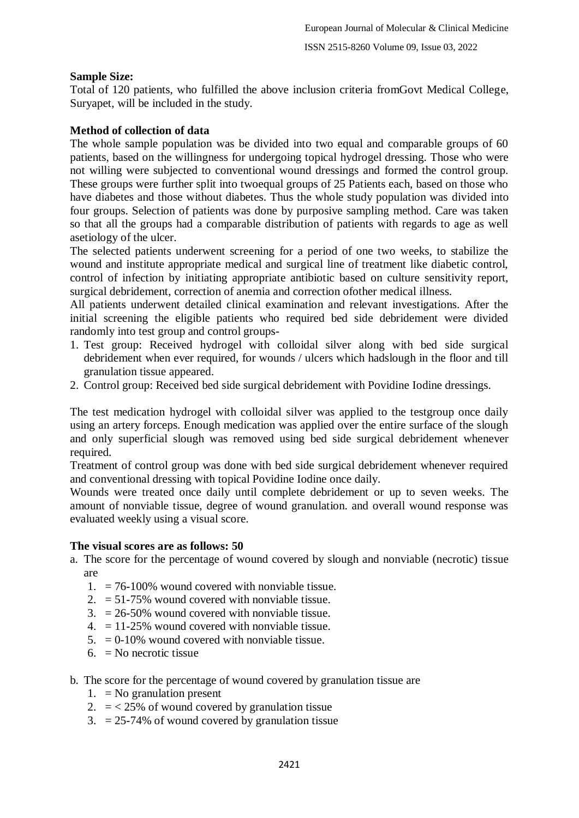## **Sample Size:**

Total of 120 patients, who fulfilled the above inclusion criteria fromGovt Medical College, Suryapet, will be included in the study.

## **Method of collection of data**

The whole sample population was be divided into two equal and comparable groups of 60 patients, based on the willingness for undergoing topical hydrogel dressing. Those who were not willing were subjected to conventional wound dressings and formed the control group. These groups were further split into twoequal groups of 25 Patients each, based on those who have diabetes and those without diabetes. Thus the whole study population was divided into four groups. Selection of patients was done by purposive sampling method. Care was taken so that all the groups had a comparable distribution of patients with regards to age as well asetiology of the ulcer.

The selected patients underwent screening for a period of one two weeks, to stabilize the wound and institute appropriate medical and surgical line of treatment like diabetic control, control of infection by initiating appropriate antibiotic based on culture sensitivity report, surgical debridement, correction of anemia and correction ofother medical illness.

All patients underwent detailed clinical examination and relevant investigations. After the initial screening the eligible patients who required bed side debridement were divided randomly into test group and control groups-

- 1. Test group: Received hydrogel with colloidal silver along with bed side surgical debridement when ever required, for wounds / ulcers which hadslough in the floor and till granulation tissue appeared.
- 2. Control group: Received bed side surgical debridement with Povidine Iodine dressings.

The test medication hydrogel with colloidal silver was applied to the testgroup once daily using an artery forceps. Enough medication was applied over the entire surface of the slough and only superficial slough was removed using bed side surgical debridement whenever required.

Treatment of control group was done with bed side surgical debridement whenever required and conventional dressing with topical Povidine Iodine once daily.

Wounds were treated once daily until complete debridement or up to seven weeks. The amount of nonviable tissue, degree of wound granulation. and overall wound response was evaluated weekly using a visual score.

### **The visual scores are as follows: 50**

- a. The score for the percentage of wound covered by slough and nonviable (necrotic) tissue are
	- $1. = 76-100\%$  wound covered with nonviable tissue.
	- 2.  $= 51-75\%$  wound covered with nonviable tissue.
	- $3. = 26-50\%$  wound covered with nonviable tissue.
	- $4. = 11-25\%$  wound covered with nonviable tissue.
	- $5. = 0.10\%$  wound covered with nonviable tissue.
	- $6. = No$  necrotic tissue
- b. The score for the percentage of wound covered by granulation tissue are
	- 1. = No granulation present
	- 2.  $=$  < 25% of wound covered by granulation tissue
	- $3. = 25-74\%$  of wound covered by granulation tissue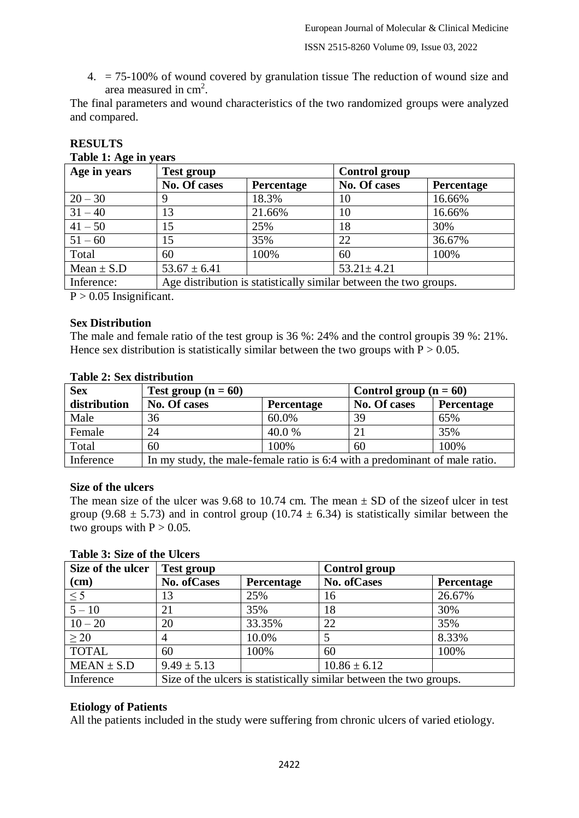4. = 75-100% of wound covered by granulation tissue The reduction of wound size and area measured in cm<sup>2</sup>.

The final parameters and wound characteristics of the two randomized groups were analyzed and compared.

#### **RESULTS Table 1: Age in years**

| $\sqrt{ }$<br>Age in years | <b>Test group</b>                                                 |            | <b>Control</b> group |            |
|----------------------------|-------------------------------------------------------------------|------------|----------------------|------------|
|                            | No. Of cases                                                      | Percentage | No. Of cases         | Percentage |
| $20 - 30$                  | 9                                                                 | 18.3%      | 10                   | 16.66%     |
| $31 - 40$                  | 13                                                                | 21.66%     | 10                   | 16.66%     |
| $41 - 50$                  | 15                                                                | 25%        | 18                   | 30%        |
| $51 - 60$                  | 15                                                                | 35%        | 22                   | 36.67%     |
| Total                      | 60                                                                | 100%       | 60                   | 100%       |
| $Mean \pm S.D$             | $53.67 \pm 6.41$                                                  |            | $53.21 \pm 4.21$     |            |
| Inference:                 | Age distribution is statistically similar between the two groups. |            |                      |            |

 $P > 0.05$  Insignificant.

### **Sex Distribution**

The male and female ratio of the test group is 36 %: 24% and the control groupis 39 %: 21%. Hence sex distribution is statistically similar between the two groups with  $P > 0.05$ .

| <b>Sex</b>   | Test group $(n = 60)$                                                       |                   | Control group $(n = 60)$ |            |
|--------------|-----------------------------------------------------------------------------|-------------------|--------------------------|------------|
| distribution | No. Of cases                                                                | <b>Percentage</b> | No. Of cases             | Percentage |
| Male         | 36                                                                          | 60.0%             | 39                       | 65%        |
| Female       | 24                                                                          | 40.0 %            | 21                       | 35%        |
| Total        | 60                                                                          | 100%              | 60                       | 100%       |
| Inference    | In my study, the male-female ratio is 6:4 with a predominant of male ratio. |                   |                          |            |

#### **Table 2: Sex distribution**

### **Size of the ulcers**

The mean size of the ulcer was 9.68 to 10.74 cm. The mean  $\pm$  SD of the size of ulcer in test group (9.68  $\pm$  5.73) and in control group (10.74  $\pm$  6.34) is statistically similar between the two groups with  $P > 0.05$ .

| Size of the ulcer | <b>Test group</b>                                                   |            | <b>Control group</b> |            |  |
|-------------------|---------------------------------------------------------------------|------------|----------------------|------------|--|
| $(cm)$            | No. of Cases                                                        | Percentage | No. of Cases         | Percentage |  |
| $\leq 5$          | 13                                                                  | 25%        | 16                   | 26.67%     |  |
| $5 - 10$          | 21                                                                  | 35%        | 18                   | 30%        |  |
| $10 - 20$         | 20                                                                  | 33.35%     | 22                   | 35%        |  |
| >20               | 4                                                                   | 10.0%      |                      | 8.33%      |  |
| <b>TOTAL</b>      | 60                                                                  | 100%       | 60                   | 100%       |  |
| $MEAN \pm S.D$    | $9.49 \pm 5.13$                                                     |            | $10.86 \pm 6.12$     |            |  |
| Inference         | Size of the ulcers is statistically similar between the two groups. |            |                      |            |  |

### **Table 3: Size of the Ulcers**

### **Etiology of Patients**

All the patients included in the study were suffering from chronic ulcers of varied etiology.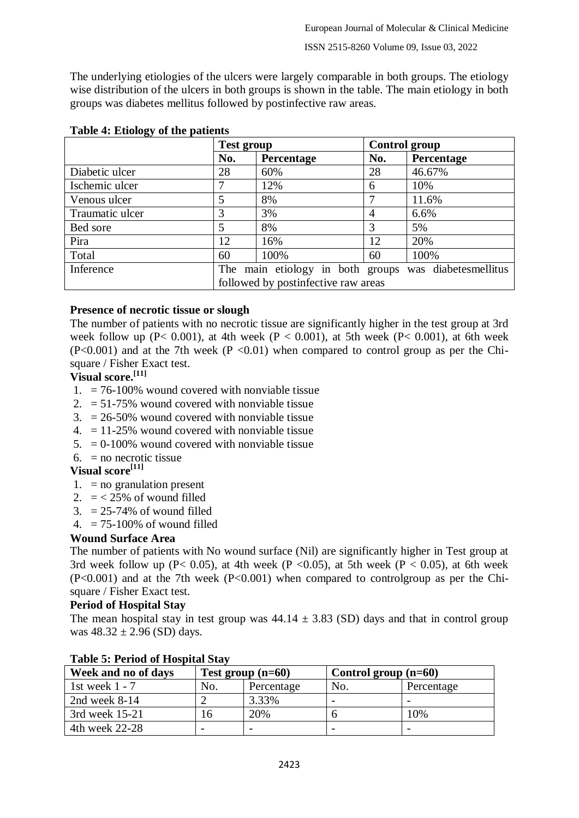The underlying etiologies of the ulcers were largely comparable in both groups. The etiology wise distribution of the ulcers in both groups is shown in the table. The main etiology in both groups was diabetes mellitus followed by postinfective raw areas.

|                 | <b>Test group</b>                                     |            | <b>Control group</b> |            |
|-----------------|-------------------------------------------------------|------------|----------------------|------------|
|                 | No.                                                   | Percentage | No.                  | Percentage |
| Diabetic ulcer  | 28                                                    | 60%        | 28                   | 46.67%     |
| Ischemic ulcer  |                                                       | 12%        | 6                    | 10%        |
| Venous ulcer    | 5                                                     | 8%         |                      | 11.6%      |
| Traumatic ulcer | 3                                                     | 3%         | 4                    | 6.6%       |
| Bed sore        | 5                                                     | 8%         | 3                    | 5%         |
| Pira            | 12                                                    | 16%        | 12                   | 20%        |
| Total           | 60                                                    | 100%       | 60                   | 100%       |
| Inference       | The main etiology in both groups was diabetesmellitus |            |                      |            |
|                 | followed by postinfective raw areas                   |            |                      |            |

# **Table 4: Etiology of the patients**

# **Presence of necrotic tissue or slough**

The number of patients with no necrotic tissue are significantly higher in the test group at 3rd week follow up (P< 0.001), at 4th week (P < 0.001), at 5th week (P < 0.001), at 6th week  $(P<0.001)$  and at the 7th week  $(P<0.01)$  when compared to control group as per the Chisquare / Fisher Exact test.

# **Visual score. [11]**

- 1.  $= 76-100\%$  wound covered with nonviable tissue
- 2.  $= 51-75\%$  wound covered with nonviable tissue
- $3. = 26-50\%$  wound covered with nonviable tissue
- $4. = 11-25\%$  wound covered with nonviable tissue
- $5. = 0.100\%$  wound covered with nonviable tissue
- $6. =$  no necrotic tissue

### **Visual score[11]**

- 1. = no granulation present
- 2.  $=$  < 25% of wound filled
- $3. = 25-74\%$  of wound filled
- $4. = 75-100\%$  of wound filled

### **Wound Surface Area**

The number of patients with No wound surface (Nil) are significantly higher in Test group at 3rd week follow up (P< 0.05), at 4th week (P < 0.05), at 5th week (P < 0.05), at 6th week (P<0.001) and at the 7th week (P<0.001) when compared to controlgroup as per the Chisquare / Fisher Exact test.

#### **Period of Hospital Stay**

The mean hospital stay in test group was  $44.14 \pm 3.83$  (SD) days and that in control group was  $48.32 \pm 2.96$  (SD) days.

| Week and no of days | Test group $(n=60)$ |            | Control group $(n=60)$ |            |  |
|---------------------|---------------------|------------|------------------------|------------|--|
| 1st week $1 - 7$    | No.                 | Percentage | No.                    | Percentage |  |
| 2nd week $8-14$     |                     | 3.33%      |                        |            |  |
| 3rd week 15-21      | 16                  | 20%        |                        | 10%        |  |
| 4th week 22-28      |                     |            |                        |            |  |

#### **Table 5: Period of Hospital Stay**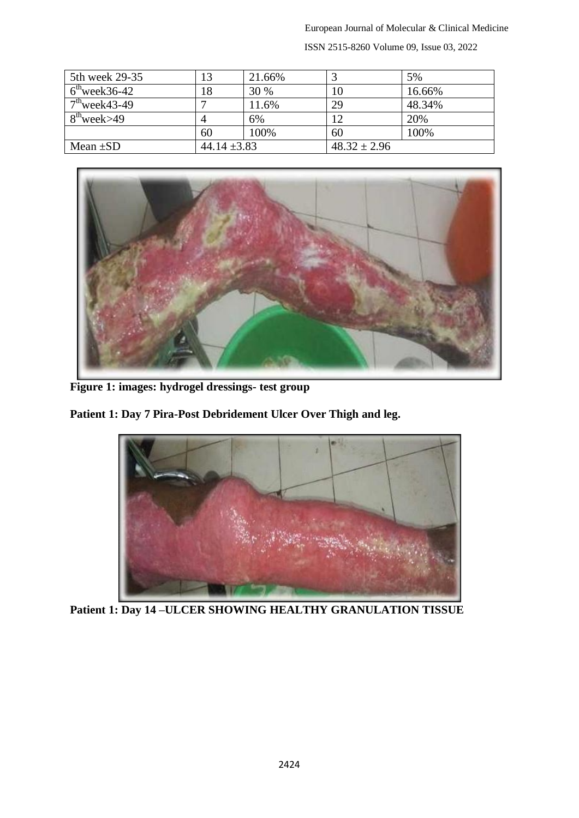European Journal of Molecular & Clinical Medicine

ISSN 2515-8260 Volume 09, Issue 03, 2022

| 5th week 29-35             |                  | 21.66% |                  | 5%     |
|----------------------------|------------------|--------|------------------|--------|
| $6^{\text{th}}$ week36-42  | 18               | 30 %   | 10               | 16.66% |
| $7th$ week43-49            |                  | 11.6%  | 29               | 48.34% |
| $8^{\text{th}}$ week $>49$ |                  | 6%     |                  | 20%    |
|                            | 60               | 100%   | 60               | 100%   |
| Mean $\pm SD$              | 44.14 $\pm$ 3.83 |        | $48.32 \pm 2.96$ |        |



**Figure 1: images: hydrogel dressings- test group**

**Patient 1: Day 7 Pira-Post Debridement Ulcer Over Thigh and leg.**



**Patient 1: Day 14 –ULCER SHOWING HEALTHY GRANULATION TISSUE**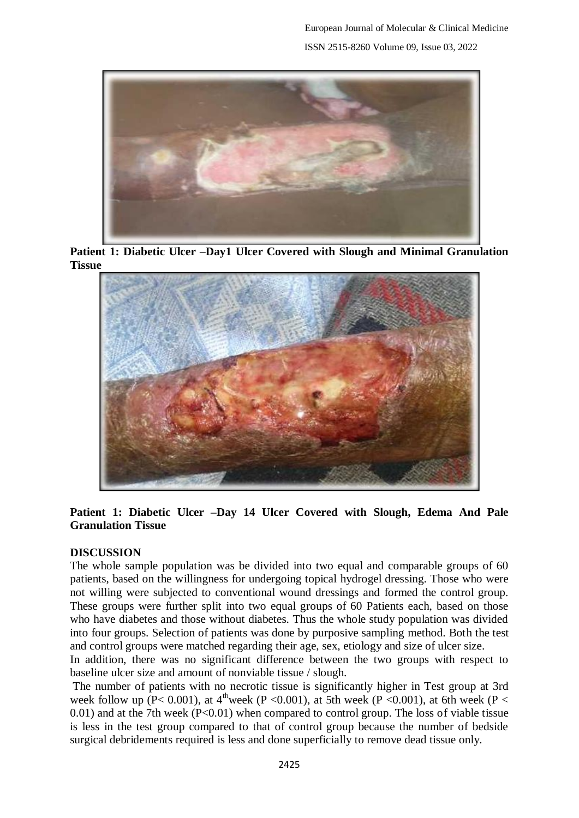

**Patient 1: Diabetic Ulcer –Day1 Ulcer Covered with Slough and Minimal Granulation Tissue**



# **Patient 1: Diabetic Ulcer –Day 14 Ulcer Covered with Slough, Edema And Pale Granulation Tissue**

#### **DISCUSSION**

The whole sample population was be divided into two equal and comparable groups of 60 patients, based on the willingness for undergoing topical hydrogel dressing. Those who were not willing were subjected to conventional wound dressings and formed the control group. These groups were further split into two equal groups of 60 Patients each, based on those who have diabetes and those without diabetes. Thus the whole study population was divided into four groups. Selection of patients was done by purposive sampling method. Both the test and control groups were matched regarding their age, sex, etiology and size of ulcer size.

In addition, there was no significant difference between the two groups with respect to baseline ulcer size and amount of nonviable tissue / slough.

The number of patients with no necrotic tissue is significantly higher in Test group at 3rd week follow up (P< 0.001), at  $4^{\text{th}}$ week (P < 0.001), at 5th week (P < 0.001), at 6th week (P < 0.01) and at the 7th week  $(P<0.01)$  when compared to control group. The loss of viable tissue is less in the test group compared to that of control group because the number of bedside surgical debridements required is less and done superficially to remove dead tissue only.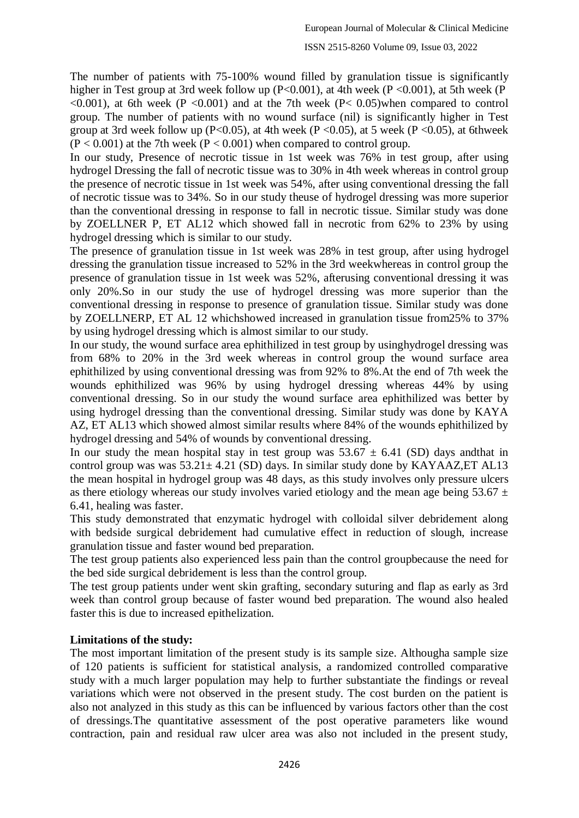The number of patients with 75-100% wound filled by granulation tissue is significantly higher in Test group at 3rd week follow up (P<0.001), at 4th week (P <0.001), at 5th week (P  $\leq 0.001$ ), at 6th week (P  $\leq 0.001$ ) and at the 7th week (P $\leq 0.05$ )when compared to control group. The number of patients with no wound surface (nil) is significantly higher in Test group at 3rd week follow up (P<0.05), at 4th week (P <0.05), at 5 week (P <0.05), at 6thweek  $(P < 0.001)$  at the 7th week  $(P < 0.001)$  when compared to control group.

In our study, Presence of necrotic tissue in 1st week was 76% in test group, after using hydrogel Dressing the fall of necrotic tissue was to 30% in 4th week whereas in control group the presence of necrotic tissue in 1st week was 54%, after using conventional dressing the fall of necrotic tissue was to 34%. So in our study theuse of hydrogel dressing was more superior than the conventional dressing in response to fall in necrotic tissue. Similar study was done by ZOELLNER P, ET AL12 which showed fall in necrotic from 62% to 23% by using hydrogel dressing which is similar to our study.

The presence of granulation tissue in 1st week was 28% in test group, after using hydrogel dressing the granulation tissue increased to 52% in the 3rd weekwhereas in control group the presence of granulation tissue in 1st week was 52%, afterusing conventional dressing it was only 20%.So in our study the use of hydrogel dressing was more superior than the conventional dressing in response to presence of granulation tissue. Similar study was done by ZOELLNERP, ET AL 12 whichshowed increased in granulation tissue from25% to 37% by using hydrogel dressing which is almost similar to our study.

In our study, the wound surface area ephithilized in test group by usinghydrogel dressing was from 68% to 20% in the 3rd week whereas in control group the wound surface area ephithilized by using conventional dressing was from 92% to 8%.At the end of 7th week the wounds ephithilized was 96% by using hydrogel dressing whereas 44% by using conventional dressing. So in our study the wound surface area ephithilized was better by using hydrogel dressing than the conventional dressing. Similar study was done by KAYA AZ, ET AL13 which showed almost similar results where 84% of the wounds ephithilized by hydrogel dressing and 54% of wounds by conventional dressing.

In our study the mean hospital stay in test group was  $53.67 \pm 6.41$  (SD) days and that in control group was was  $53.21 \pm 4.21$  (SD) days. In similar study done by KAYAAZ, ET AL13 the mean hospital in hydrogel group was 48 days, as this study involves only pressure ulcers as there etiology whereas our study involves varied etiology and the mean age being  $53.67 \pm$ 6.41, healing was faster.

This study demonstrated that enzymatic hydrogel with colloidal silver debridement along with bedside surgical debridement had cumulative effect in reduction of slough, increase granulation tissue and faster wound bed preparation.

The test group patients also experienced less pain than the control groupbecause the need for the bed side surgical debridement is less than the control group.

The test group patients under went skin grafting, secondary suturing and flap as early as 3rd week than control group because of faster wound bed preparation. The wound also healed faster this is due to increased epithelization.

#### **Limitations of the study:**

The most important limitation of the present study is its sample size. Althougha sample size of 120 patients is sufficient for statistical analysis, a randomized controlled comparative study with a much larger population may help to further substantiate the findings or reveal variations which were not observed in the present study. The cost burden on the patient is also not analyzed in this study as this can be influenced by various factors other than the cost of dressings.The quantitative assessment of the post operative parameters like wound contraction, pain and residual raw ulcer area was also not included in the present study,